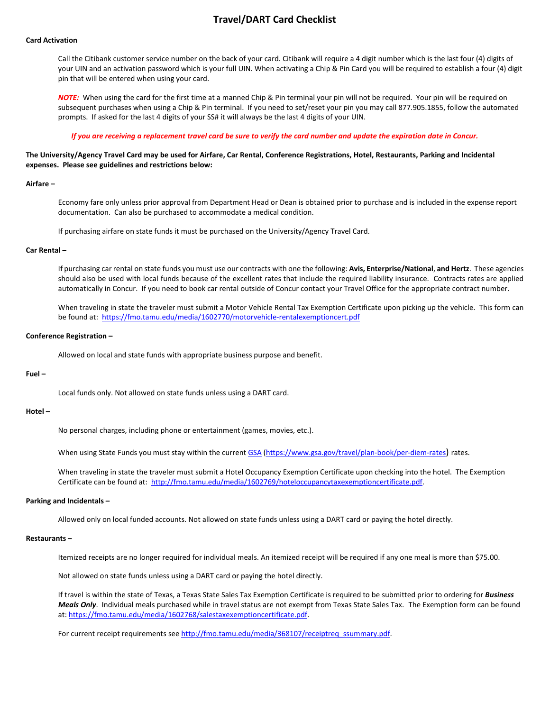# **Travel/DART Card Checklist**

# **Card Activation**

Call the Citibank customer service number on the back of your card. Citibank will require a 4 digit number which is the last four (4) digits of your UIN and an activation password which is your full UIN. When activating a Chip & Pin Card you will be required to establish a four (4) digit pin that will be entered when using your card.

*NOTE:* When using the card for the first time at a manned Chip & Pin terminal your pin will not be required. Your pin will be required on subsequent purchases when using a Chip & Pin terminal. If you need to set/reset your pin you may call 877.905.1855, follow the automated prompts. If asked for the last 4 digits of your SS# it will always be the last 4 digits of your UIN.

*If you are receiving a replacement travel card be sure to verify the card number and update the expiration date in Concur.*

# **The University/Agency Travel Card may be used for Airfare, Car Rental, Conference Registrations, Hotel, Restaurants, Parking and Incidental expenses. Please see guidelines and restrictions below:**

#### **Airfare –**

Economy fare only unless prior approval from Department Head or Dean is obtained prior to purchase and is included in the expense report documentation. Can also be purchased to accommodate a medical condition.

If purchasing airfare on state funds it must be purchased on the University/Agency Travel Card.

# **Car Rental –**

If purchasing car rental on state funds you must use our contracts with one the following: **Avis, Enterprise/National**, **and Hertz**. These agencies should also be used with local funds because of the excellent rates that include the required liability insurance. Contracts rates are applied automatically in Concur. If you need to book car rental outside of Concur contact your Travel Office for the appropriate contract number.

When traveling in state the traveler must submit a Motor Vehicle Rental Tax Exemption Certificate upon picking up the vehicle. This form can be found at:<https://fmo.tamu.edu/media/1602770/motorvehicle-rentalexemptioncert.pdf>

## **Conference Registration –**

Allowed on local and state funds with appropriate business purpose and benefit.

## **Fuel –**

Local funds only. Not allowed on state funds unless using a DART card.

#### **Hotel –**

No personal charges, including phone or entertainment (games, movies, etc.).

When using State Funds you must stay within the curren[t GSA](https://www.gsa.gov/travel/plan-book/per-diem-rates) [\(https://www.gsa.gov/travel/plan-book/per-diem-rates\)](https://www.gsa.gov/travel/plan-book/per-diem-rates) rates.

When traveling in state the traveler must submit a Hotel Occupancy Exemption Certificate upon checking into the hotel. The Exemption Certificate can be found at: [http://fmo.tamu.edu/media/1602769/hoteloccupancytaxexemptioncertificate.pdf.](http://fmo.tamu.edu/media/1602769/hoteloccupancytaxexemptioncertificate.pdf) 

### **Parking and Incidentals –**

Allowed only on local funded accounts. Not allowed on state funds unless using a DART card or paying the hotel directly.

## **Restaurants –**

Itemized receipts are no longer required for individual meals. An itemized receipt will be required if any one meal is more than \$75.00.

Not allowed on state funds unless using a DART card or paying the hotel directly.

If travel is within the state of Texas, a Texas State Sales Tax Exemption Certificate is required to be submitted prior to ordering for *Business Meals Only*. Individual meals purchased while in travel status are not exempt from Texas State Sales Tax. The Exemption form can be found at: [https://fmo.tamu.edu/media/1602768/salestaxexemptioncertificate.pdf.](https://fmo.tamu.edu/media/1602768/salestaxexemptioncertificate.pdf) 

For current receipt requirements see [http://fmo.tamu.edu/media/368107/receiptreq\\_ssummary.pdf.](http://fmo.tamu.edu/media/368107/receiptreq_ssummary.pdf)